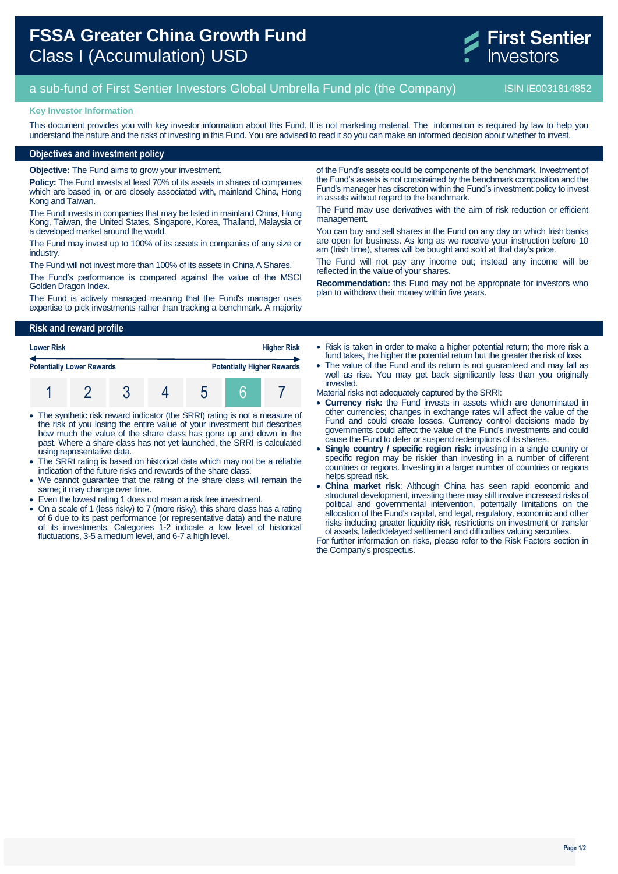# **FSSA Greater China Growth Fund** Class I (Accumulation) USD



## a sub-fund of First Sentier Investors Global Umbrella Fund plc (the Company) ISIN IE0031814852

#### **Key Investor Information**

This document provides you with key investor information about this Fund. It is not marketing material. The information is required by law to help you understand the nature and the risks of investing in this Fund. You are advised to read it so you can make an informed decision about whether to invest.

#### **Objectives and investment policy**

**Objective:** The Fund aims to grow your investment.

**Policy:** The Fund invests at least 70% of its assets in shares of companies which are based in, or are closely associated with, mainland China, Hong Kong and Taiwan.

The Fund invests in companies that may be listed in mainland China, Hong Kong, Taiwan, the United States, Singapore, Korea, Thailand, Malaysia or a developed market around the world.

The Fund may invest up to 100% of its assets in companies of any size or industry.

The Fund will not invest more than 100% of its assets in China A Shares.

The Fund's performance is compared against the value of the MSCI Golden Dragon Index.

The Fund is actively managed meaning that the Fund's manager uses expertise to pick investments rather than tracking a benchmark. A majority

**Risk and reward profile**

| <b>Lower Risk</b>                |  |  |  |   | <b>Higher Risk</b>                |  |  |
|----------------------------------|--|--|--|---|-----------------------------------|--|--|
| <b>Potentially Lower Rewards</b> |  |  |  |   | <b>Potentially Higher Rewards</b> |  |  |
|                                  |  |  |  | O |                                   |  |  |

- The synthetic risk reward indicator (the SRRI) rating is not a measure of the risk of you losing the entire value of your investment but describes how much the value of the share class has gone up and down in the past. Where a share class has not yet launched, the SRRI is calculated using representative data.
- The SRRI rating is based on historical data which may not be a reliable indication of the future risks and rewards of the share class.
- We cannot guarantee that the rating of the share class will remain the same; it may change over time.
- Even the lowest rating 1 does not mean a risk free investment.
- On a scale of 1 (less risky) to 7 (more risky), this share class has a rating of 6 due to its past performance (or representative data) and the nature of its investments. Categories 1-2 indicate a low level of historical fluctuations, 3-5 a medium level, and 6-7 a high level.

of the Fund's assets could be components of the benchmark. Investment of the Fund's assets is not constrained by the benchmark composition and the Fund's manager has discretion within the Fund's investment policy to invest in assets without regard to the benchmark.

The Fund may use derivatives with the aim of risk reduction or efficient management.

You can buy and sell shares in the Fund on any day on which Irish banks are open for business. As long as we receive your instruction before 10 am (Irish time), shares will be bought and sold at that day's price.

The Fund will not pay any income out; instead any income will be reflected in the value of your shares.

**Recommendation:** this Fund may not be appropriate for investors who plan to withdraw their money within five years.

• Risk is taken in order to make a higher potential return; the more risk a fund takes, the higher the potential return but the greater the risk of loss.

 The value of the Fund and its return is not guaranteed and may fall as well as rise. You may get back significantly less than you originally invested.

Material risks not adequately captured by the SRRI:

- **Currency risk:** the Fund invests in assets which are denominated in other currencies; changes in exchange rates will affect the value of the Fund and could create losses. Currency control decisions made by governments could affect the value of the Fund's investments and could cause the Fund to defer or suspend redemptions of its shares.
- **Single country / specific region risk:** investing in a single country or specific region may be riskier than investing in a number of different countries or regions. Investing in a larger number of countries or regions helps spread risk.
- **China market risk**: Although China has seen rapid economic and structural development, investing there may still involve increased risks of political and governmental intervention, potentially limitations on the allocation of the Fund's capital, and legal, regulatory, economic and other risks including greater liquidity risk, restrictions on investment or transfer of assets, failed/delayed settlement and difficulties valuing securities.

For further information on risks, please refer to the Risk Factors section in the Company's prospectus.